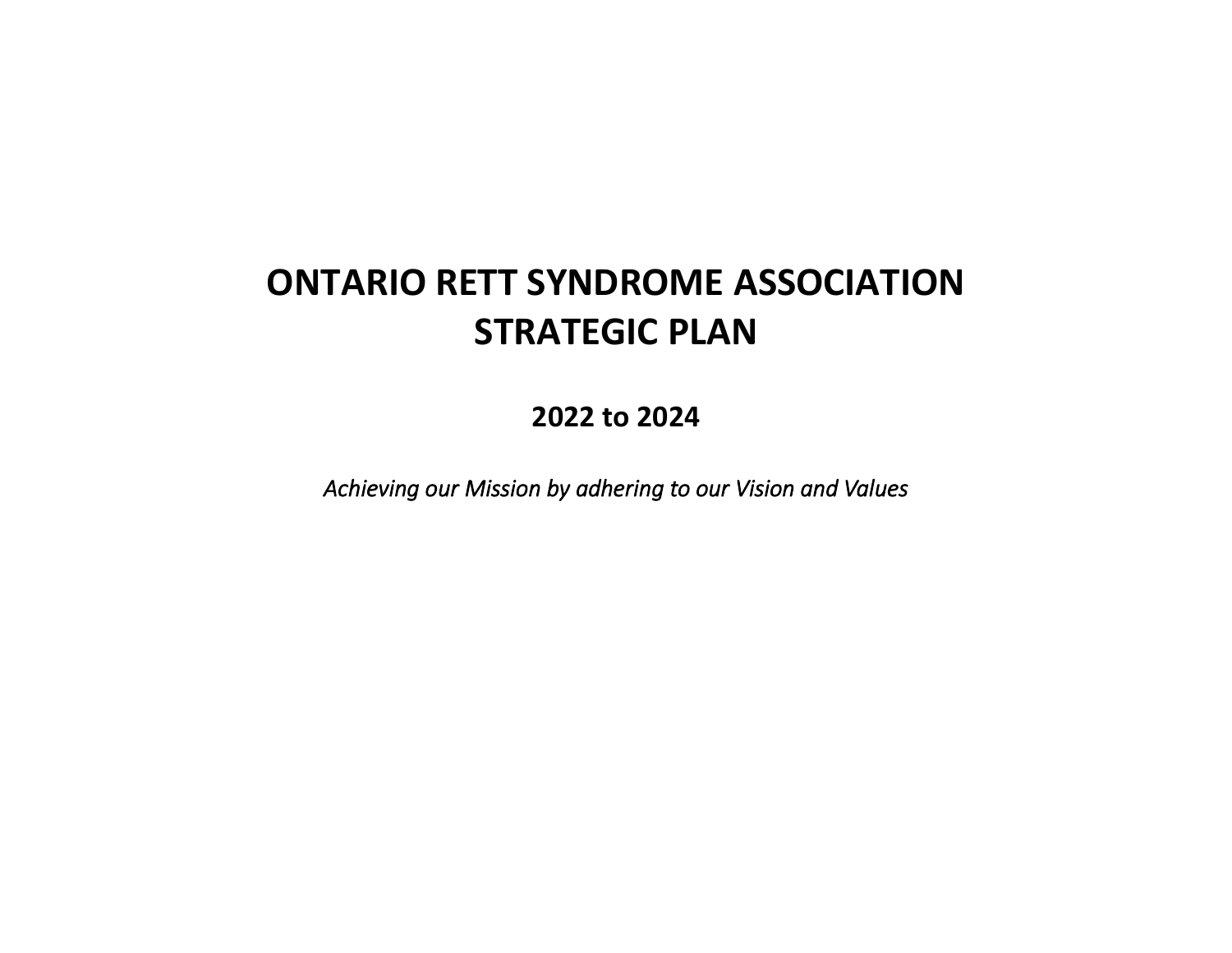# **ONTARIO RETT SYNDROME ASSOCIATION STRATEGIC PLAN**

**2022 to 2024**

*Achieving our Mission by adhering to our Vision and Values*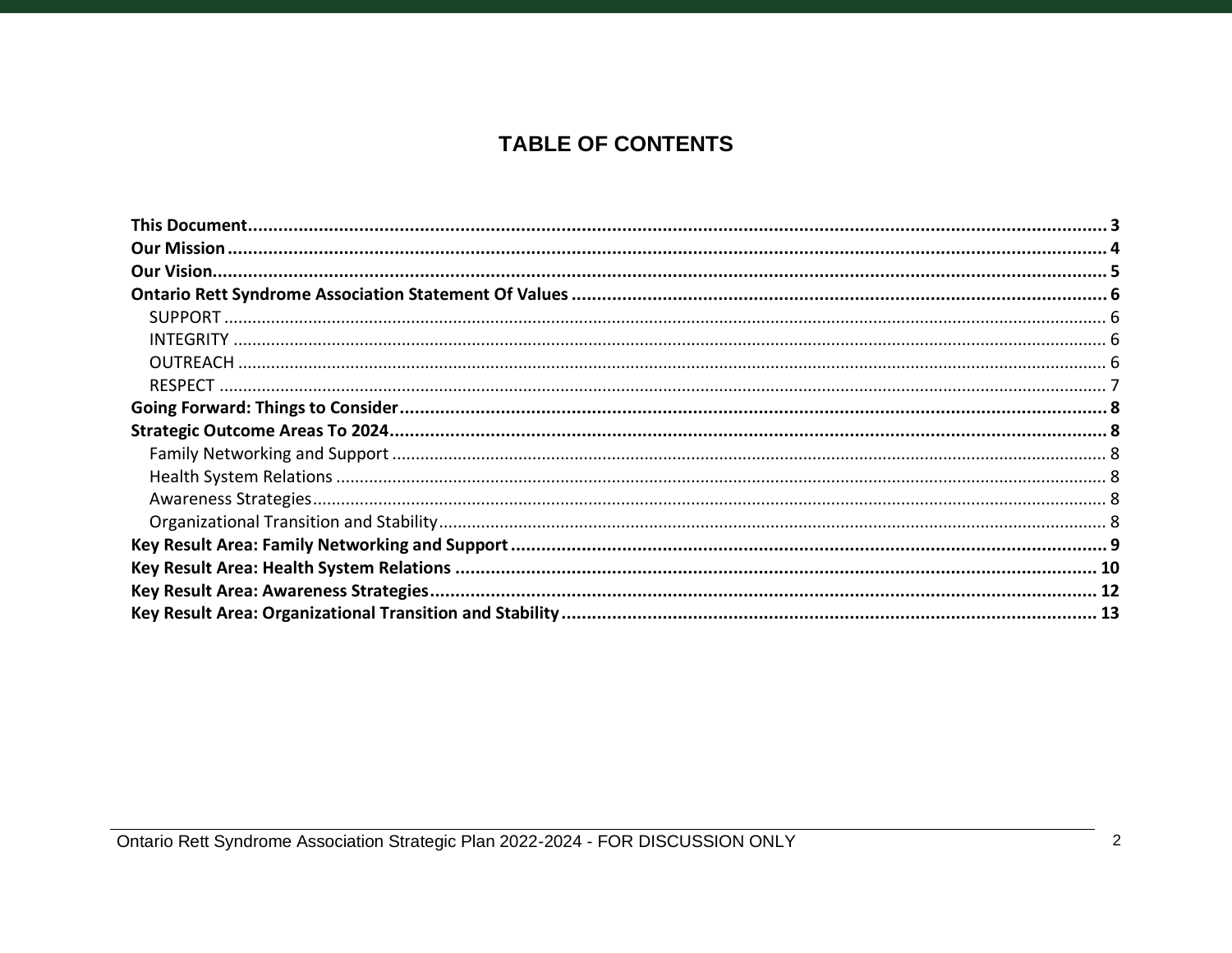# **TABLE OF CONTENTS**

Ontario Rett Syndrome Association Strategic Plan 2022-2024 - FOR DISCUSSION ONLY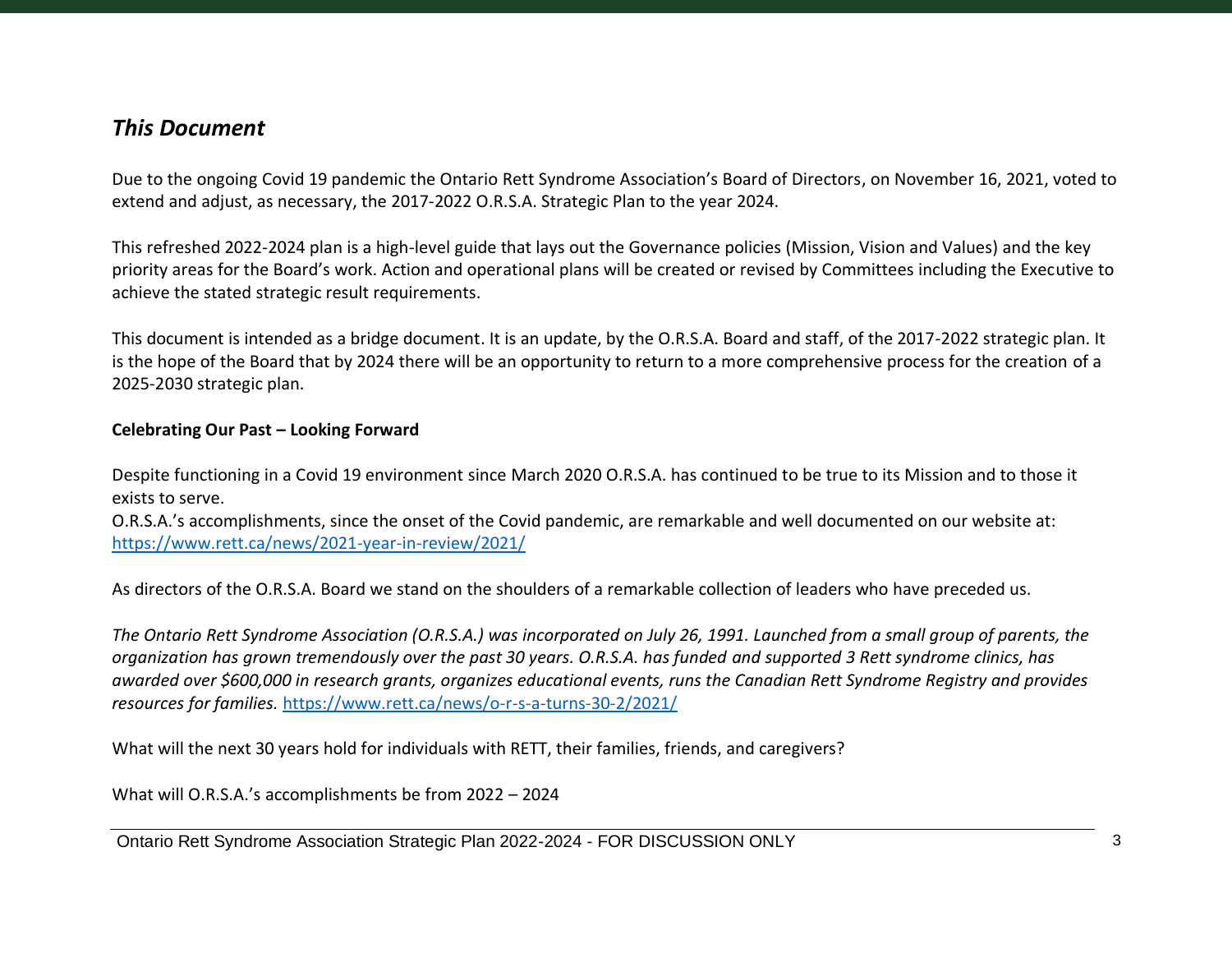## <span id="page-2-0"></span>*This Document*

Due to the ongoing Covid 19 pandemic the Ontario Rett Syndrome Association's Board of Directors, on November 16, 2021, voted to extend and adjust, as necessary, the 2017-2022 O.R.S.A. Strategic Plan to the year 2024.

This refreshed 2022-2024 plan is a high-level guide that lays out the Governance policies (Mission, Vision and Values) and the key priority areas for the Board's work. Action and operational plans will be created or revised by Committees including the Executive to achieve the stated strategic result requirements.

This document is intended as a bridge document. It is an update, by the O.R.S.A. Board and staff, of the 2017-2022 strategic plan. It is the hope of the Board that by 2024 there will be an opportunity to return to a more comprehensive process for the creation of a 2025-2030 strategic plan.

#### **Celebrating Our Past – Looking Forward**

Despite functioning in a Covid 19 environment since March 2020 O.R.S.A. has continued to be true to its Mission and to those it exists to serve.

O.R.S.A.'s accomplishments, since the onset of the Covid pandemic, are remarkable and well documented on our website at: <https://www.rett.ca/news/2021-year-in-review/2021/>

As directors of the O.R.S.A. Board we stand on the shoulders of a remarkable collection of leaders who have preceded us.

*The Ontario Rett Syndrome Association (O.R.S.A.) was incorporated on July 26, 1991. Launched from a small group of parents, the organization has grown tremendously over the past 30 years. O.R.S.A. has funded and supported 3 Rett syndrome clinics, has awarded over \$600,000 in research grants, organizes educational events, runs the Canadian Rett Syndrome Registry and provides resources for families.* <https://www.rett.ca/news/o-r-s-a-turns-30-2/2021/>

What will the next 30 years hold for individuals with RETT, their families, friends, and caregivers?

What will O.R.S.A.'s accomplishments be from 2022 – 2024

Ontario Rett Syndrome Association Strategic Plan 2022-2024 - FOR DISCUSSION ONLY 3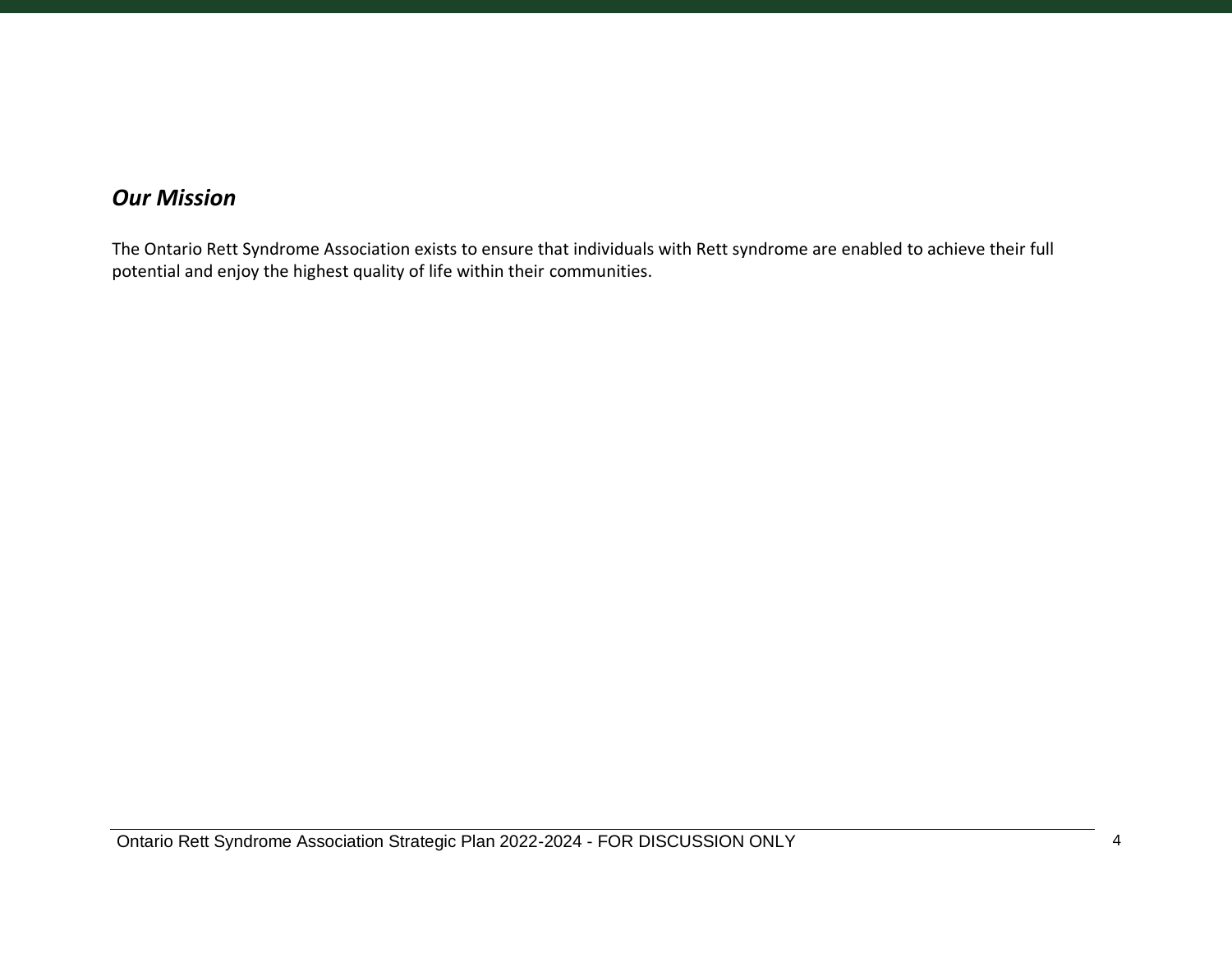# <span id="page-3-0"></span>*Our Mission*

The Ontario Rett Syndrome Association exists to ensure that individuals with Rett syndrome are enabled to achieve their full potential and enjoy the highest quality of life within their communities.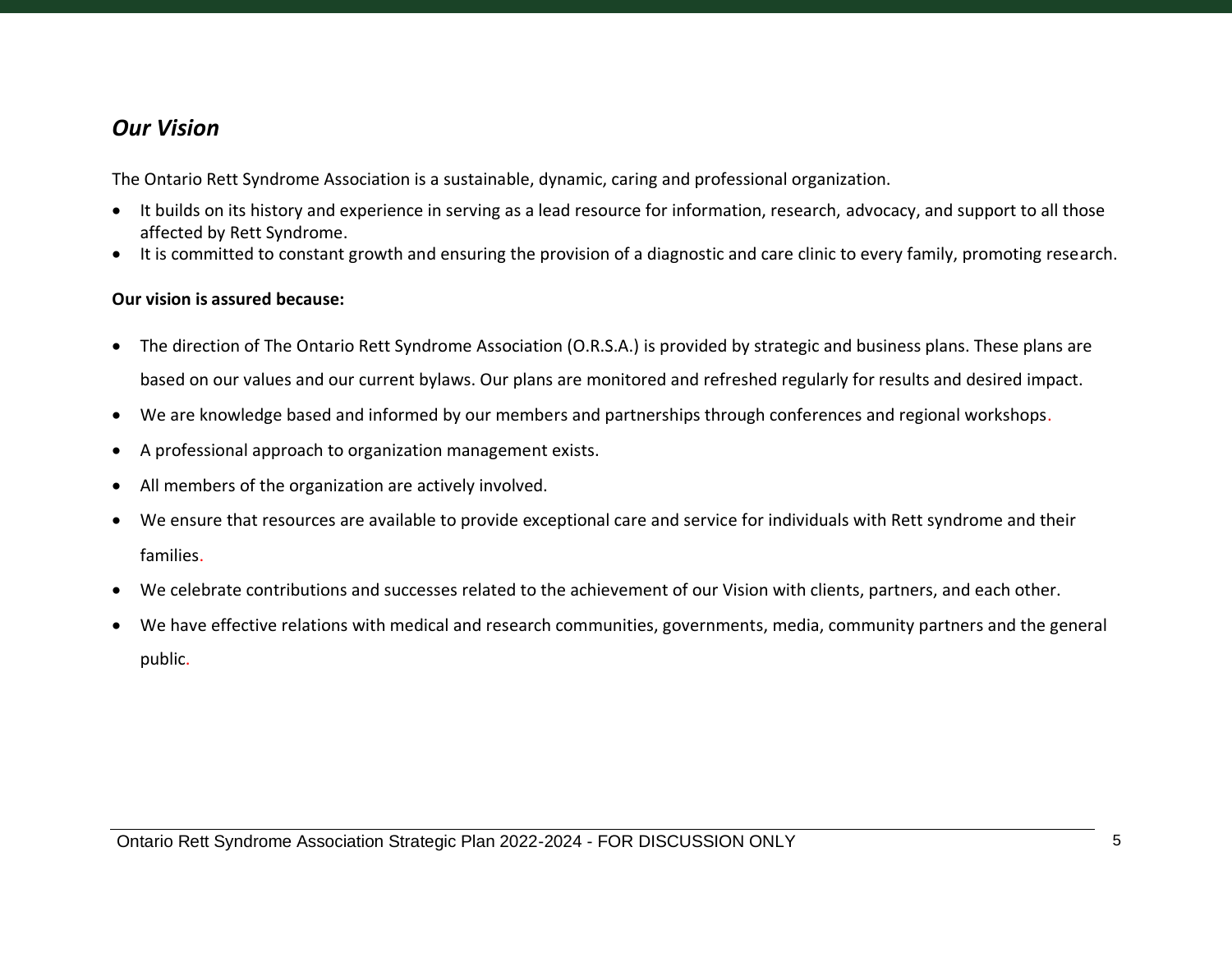## <span id="page-4-0"></span>*Our Vision*

The Ontario Rett Syndrome Association is a sustainable, dynamic, caring and professional organization.

- It builds on its history and experience in serving as a lead resource for information, research, advocacy, and support to all those affected by Rett Syndrome.
- It is committed to constant growth and ensuring the provision of a diagnostic and care clinic to every family, promoting research.

#### **Our vision is assured because:**

- The direction of The Ontario Rett Syndrome Association (O.R.S.A.) is provided by strategic and business plans. These plans are based on our values and our current bylaws. Our plans are monitored and refreshed regularly for results and desired impact.
- We are knowledge based and informed by our members and partnerships through conferences and regional workshops.
- A professional approach to organization management exists.
- All members of the organization are actively involved.
- We ensure that resources are available to provide exceptional care and service for individuals with Rett syndrome and their families.
- We celebrate contributions and successes related to the achievement of our Vision with clients, partners, and each other.
- We have effective relations with medical and research communities, governments, media, community partners and the general public.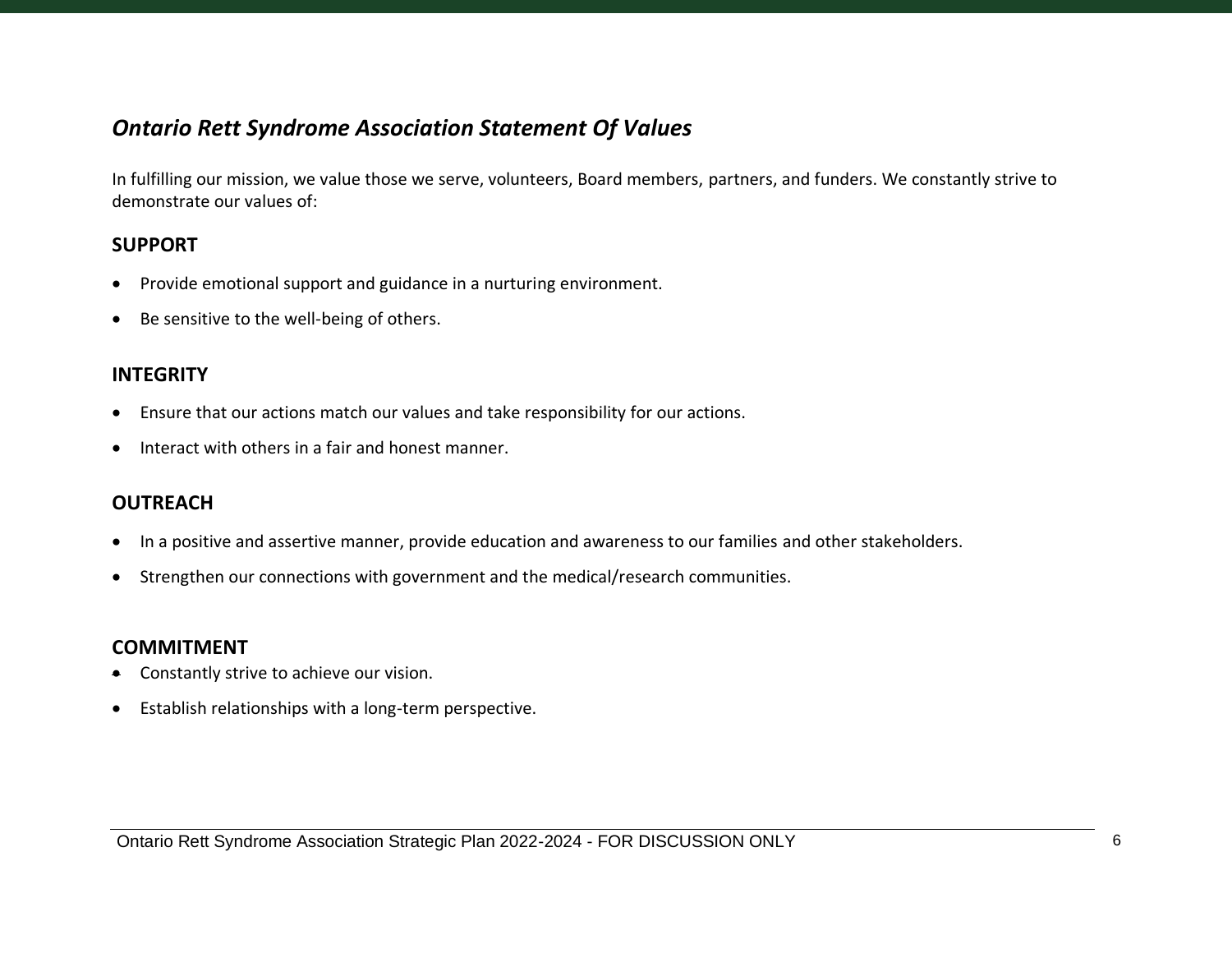## <span id="page-5-0"></span>*Ontario Rett Syndrome Association Statement Of Values*

In fulfilling our mission, we value those we serve, volunteers, Board members, partners, and funders. We constantly strive to demonstrate our values of:

#### <span id="page-5-1"></span>**SUPPORT**

- Provide emotional support and guidance in a nurturing environment.
- Be sensitive to the well-being of others.

#### <span id="page-5-2"></span>**INTEGRITY**

- Ensure that our actions match our values and take responsibility for our actions.
- Interact with others in a fair and honest manner.

#### <span id="page-5-3"></span>**OUTREACH**

- In a positive and assertive manner, provide education and awareness to our families and other stakeholders.
- Strengthen our connections with government and the medical/research communities.

#### **COMMITMENT**

- Constantly strive to achieve our vision.
- Establish relationships with a long-term perspective.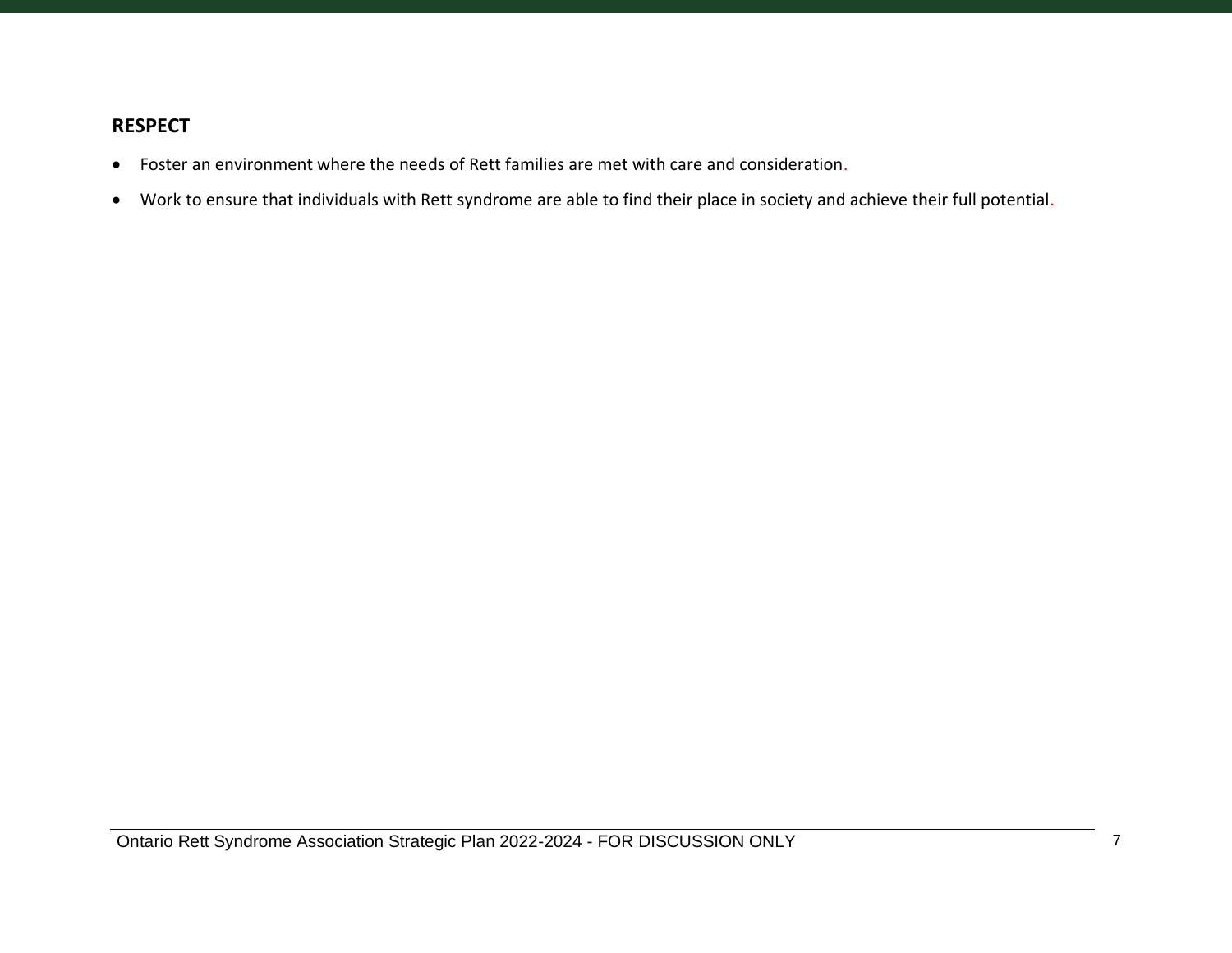#### <span id="page-6-0"></span>**RESPECT**

- Foster an environment where the needs of Rett families are met with care and consideration.
- Work to ensure that individuals with Rett syndrome are able to find their place in society and achieve their full potential.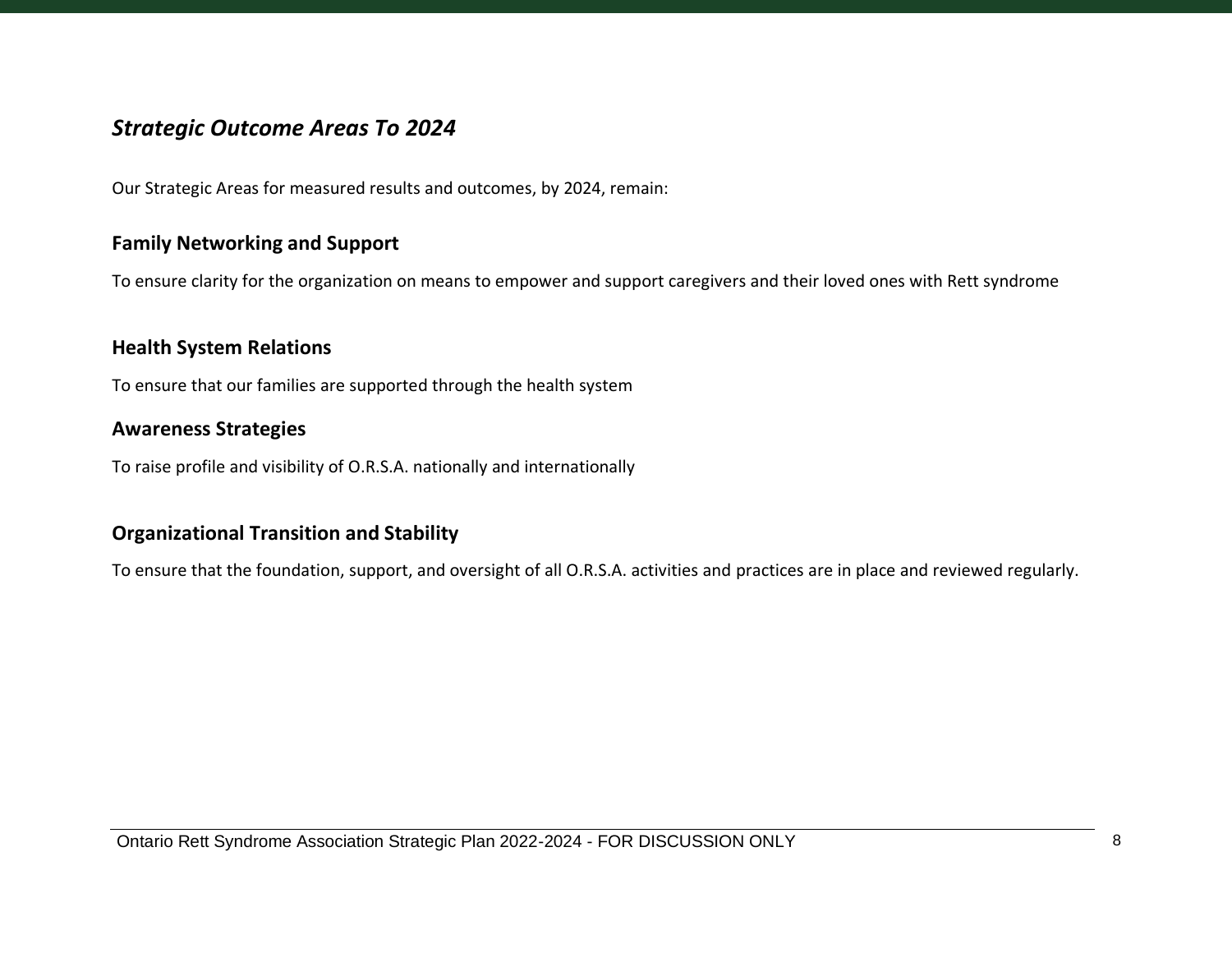## <span id="page-7-0"></span>*Strategic Outcome Areas To 2024*

Our Strategic Areas for measured results and outcomes, by 2024, remain:

## <span id="page-7-1"></span>**Family Networking and Support**

To ensure clarity for the organization on means to empower and support caregivers and their loved ones with Rett syndrome

#### <span id="page-7-2"></span>**Health System Relations**

<span id="page-7-3"></span>To ensure that our families are supported through the health system

#### **Awareness Strategies**

To raise profile and visibility of O.R.S.A. nationally and internationally

## <span id="page-7-4"></span>**Organizational Transition and Stability**

To ensure that the foundation, support, and oversight of all O.R.S.A. activities and practices are in place and reviewed regularly.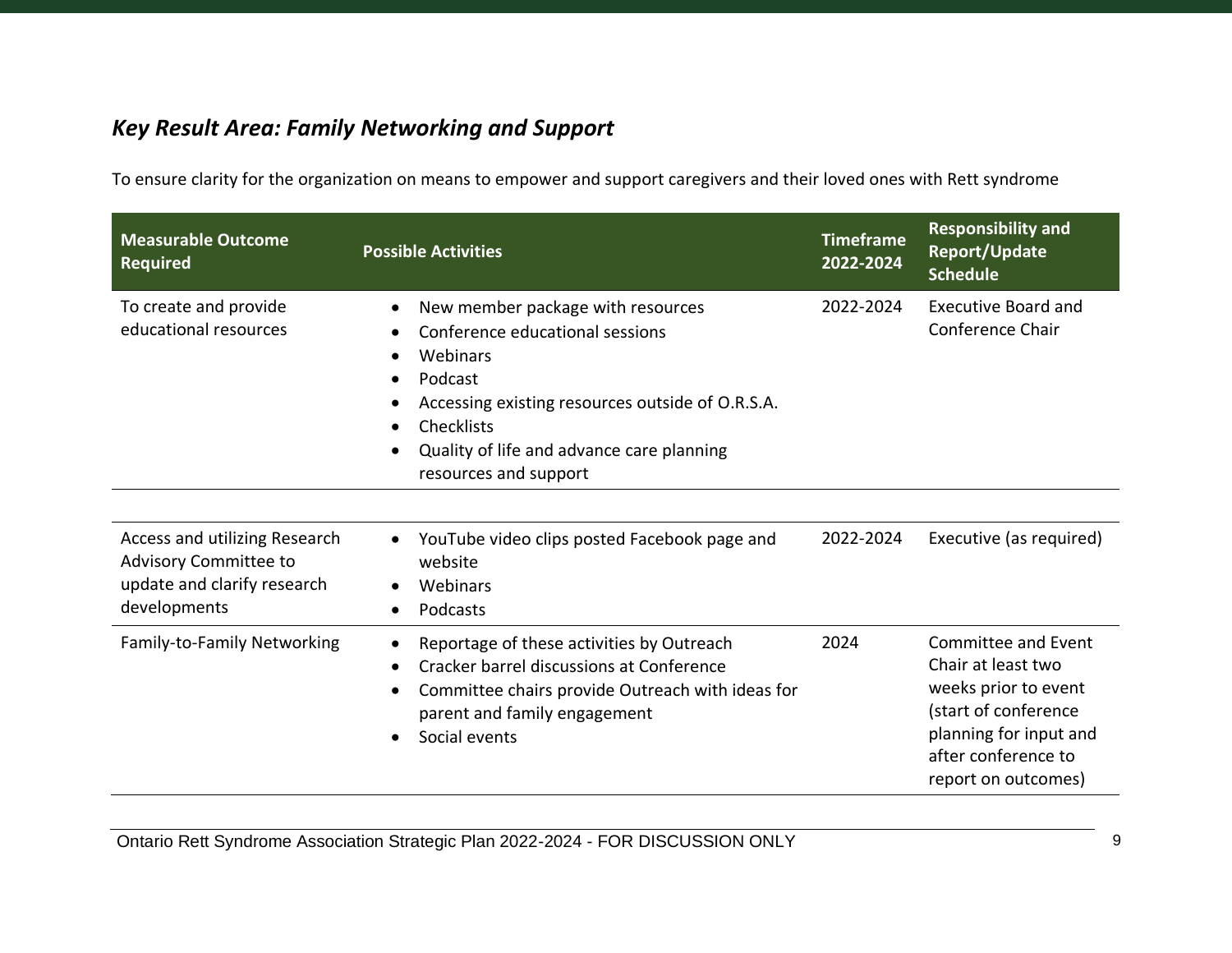# <span id="page-8-0"></span>*Key Result Area: Family Networking and Support*

To ensure clarity for the organization on means to empower and support caregivers and their loved ones with Rett syndrome

| <b>Measurable Outcome</b><br><b>Required</b>                                                          | <b>Possible Activities</b>                                                                                                                                                                                                          | <b>Timeframe</b><br>2022-2024 | <b>Responsibility and</b><br>Report/Update<br><b>Schedule</b>                                                                                                     |
|-------------------------------------------------------------------------------------------------------|-------------------------------------------------------------------------------------------------------------------------------------------------------------------------------------------------------------------------------------|-------------------------------|-------------------------------------------------------------------------------------------------------------------------------------------------------------------|
| To create and provide<br>educational resources                                                        | New member package with resources<br>Conference educational sessions<br>Webinars<br>Podcast<br>Accessing existing resources outside of O.R.S.A.<br>Checklists<br>Quality of life and advance care planning<br>resources and support | 2022-2024                     | <b>Executive Board and</b><br>Conference Chair                                                                                                                    |
| Access and utilizing Research<br>Advisory Committee to<br>update and clarify research<br>developments | YouTube video clips posted Facebook page and<br>website<br>Webinars<br>Podcasts<br>$\bullet$                                                                                                                                        | 2022-2024                     | Executive (as required)                                                                                                                                           |
| Family-to-Family Networking                                                                           | Reportage of these activities by Outreach<br>Cracker barrel discussions at Conference<br>$\bullet$<br>Committee chairs provide Outreach with ideas for<br>parent and family engagement<br>Social events                             | 2024                          | Committee and Event<br>Chair at least two<br>weeks prior to event<br>(start of conference<br>planning for input and<br>after conference to<br>report on outcomes) |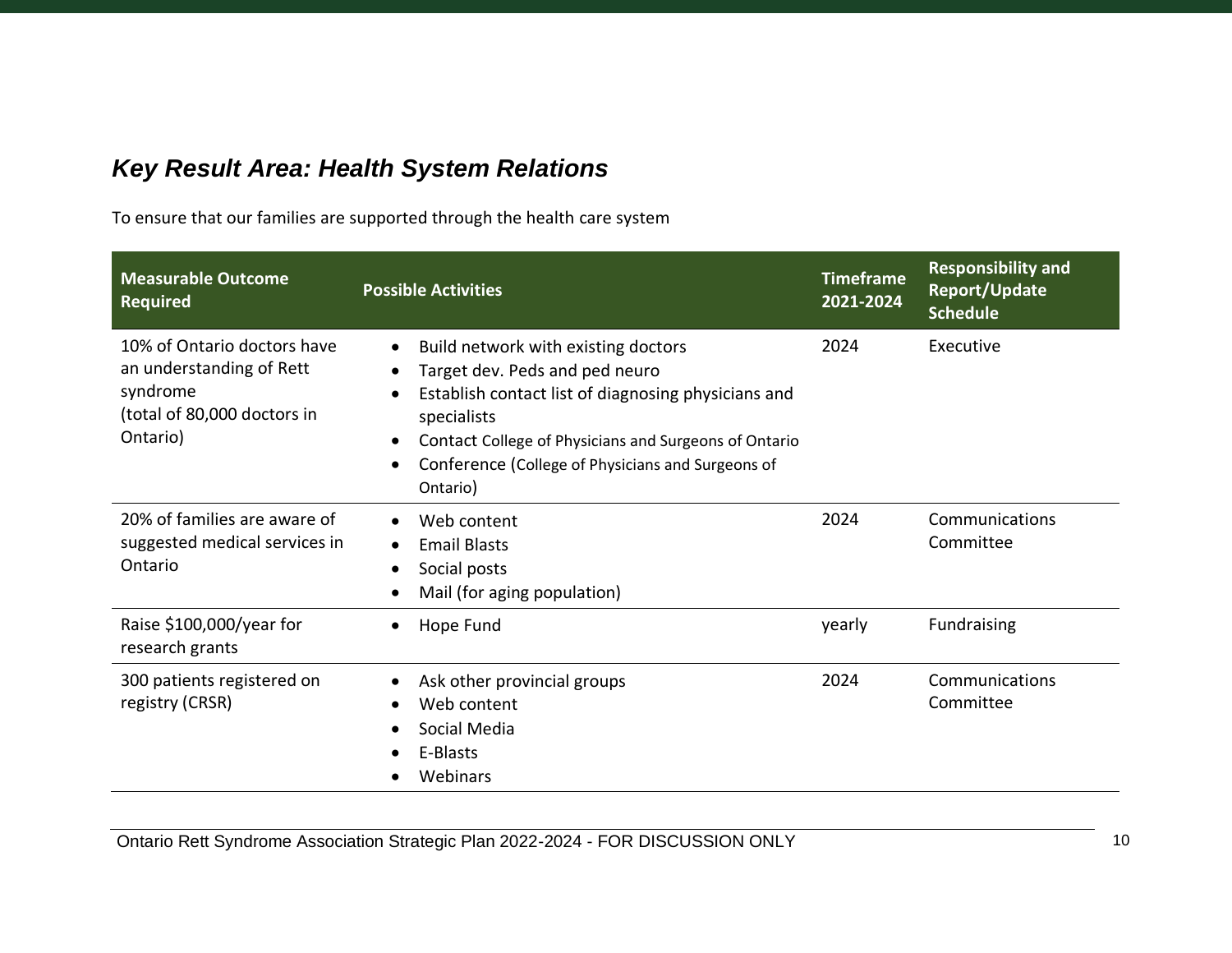# <span id="page-9-0"></span>*Key Result Area: Health System Relations*

To ensure that our families are supported through the health care system

| <b>Measurable Outcome</b><br><b>Required</b>                                                                   | <b>Possible Activities</b>                                                                                                                                                                                                                                                         | <b>Timeframe</b><br>2021-2024 | <b>Responsibility and</b><br>Report/Update<br><b>Schedule</b> |
|----------------------------------------------------------------------------------------------------------------|------------------------------------------------------------------------------------------------------------------------------------------------------------------------------------------------------------------------------------------------------------------------------------|-------------------------------|---------------------------------------------------------------|
| 10% of Ontario doctors have<br>an understanding of Rett<br>syndrome<br>(total of 80,000 doctors in<br>Ontario) | Build network with existing doctors<br>$\bullet$<br>Target dev. Peds and ped neuro<br>Establish contact list of diagnosing physicians and<br>specialists<br>Contact College of Physicians and Surgeons of Ontario<br>Conference (College of Physicians and Surgeons of<br>Ontario) | 2024                          | Executive                                                     |
| 20% of families are aware of<br>suggested medical services in<br>Ontario                                       | Web content<br><b>Email Blasts</b><br>$\bullet$<br>Social posts<br>$\bullet$<br>Mail (for aging population)                                                                                                                                                                        | 2024                          | Communications<br>Committee                                   |
| Raise \$100,000/year for<br>research grants                                                                    | Hope Fund<br>$\bullet$                                                                                                                                                                                                                                                             | yearly                        | Fundraising                                                   |
| 300 patients registered on<br>registry (CRSR)                                                                  | Ask other provincial groups<br>Web content<br>Social Media<br>E-Blasts<br>Webinars                                                                                                                                                                                                 | 2024                          | Communications<br>Committee                                   |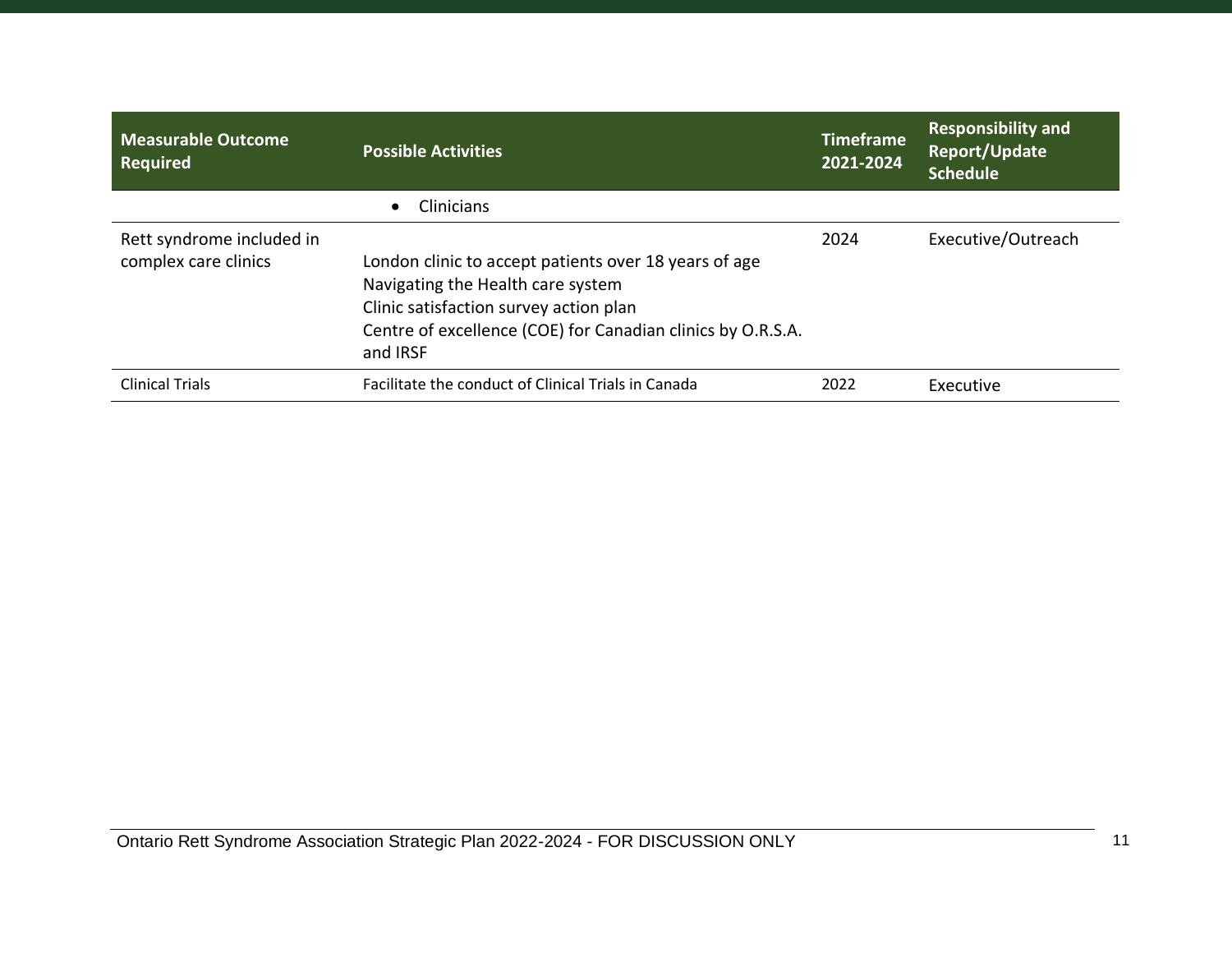| Measurable Outcome<br><b>Required</b>             | <b>Possible Activities</b>                                                                                                                                                                                      | <b>Timeframe</b><br>2021-2024 | <b>Responsibility and</b><br>Report/Update<br><b>Schedule</b> |
|---------------------------------------------------|-----------------------------------------------------------------------------------------------------------------------------------------------------------------------------------------------------------------|-------------------------------|---------------------------------------------------------------|
|                                                   | Clinicians                                                                                                                                                                                                      |                               |                                                               |
| Rett syndrome included in<br>complex care clinics | London clinic to accept patients over 18 years of age<br>Navigating the Health care system<br>Clinic satisfaction survey action plan<br>Centre of excellence (COE) for Canadian clinics by O.R.S.A.<br>and IRSF | 2024                          | Executive/Outreach                                            |
| <b>Clinical Trials</b>                            | Facilitate the conduct of Clinical Trials in Canada                                                                                                                                                             | 2022                          | Executive                                                     |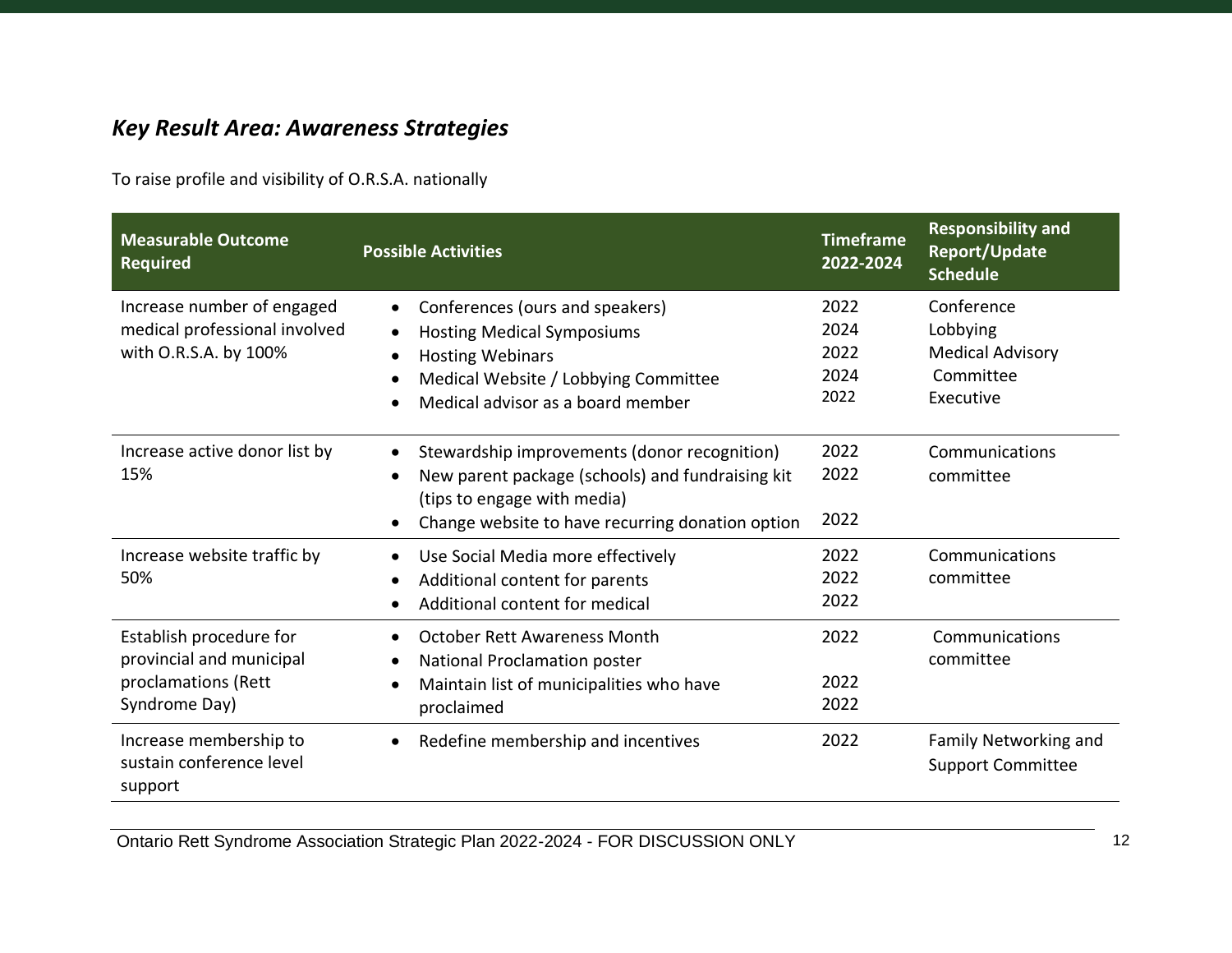# <span id="page-11-0"></span>*Key Result Area: Awareness Strategies*

To raise profile and visibility of O.R.S.A. nationally

| <b>Measurable Outcome</b><br><b>Required</b> | <b>Possible Activities</b>                                | <b>Timeframe</b><br>2022-2024 | <b>Responsibility and</b><br><b>Report/Update</b><br><b>Schedule</b> |
|----------------------------------------------|-----------------------------------------------------------|-------------------------------|----------------------------------------------------------------------|
| Increase number of engaged                   | Conferences (ours and speakers)                           | 2022                          | Conference                                                           |
| medical professional involved                | <b>Hosting Medical Symposiums</b>                         | 2024                          | Lobbying                                                             |
| with O.R.S.A. by 100%                        | <b>Hosting Webinars</b>                                   | 2022                          | <b>Medical Advisory</b>                                              |
|                                              | Medical Website / Lobbying Committee                      | 2024                          | Committee                                                            |
|                                              | Medical advisor as a board member                         | 2022                          | Executive                                                            |
|                                              |                                                           |                               |                                                                      |
| Increase active donor list by                | Stewardship improvements (donor recognition)<br>$\bullet$ | 2022                          | Communications                                                       |
| 15%                                          | New parent package (schools) and fundraising kit          | 2022                          | committee                                                            |
|                                              | (tips to engage with media)                               |                               |                                                                      |
|                                              | Change website to have recurring donation option          | 2022                          |                                                                      |
| Increase website traffic by                  | Use Social Media more effectively                         | 2022                          | Communications                                                       |
| 50%                                          | Additional content for parents                            | 2022                          | committee                                                            |
|                                              | Additional content for medical                            | 2022                          |                                                                      |
| Establish procedure for                      | <b>October Rett Awareness Month</b>                       | 2022                          | Communications                                                       |
| provincial and municipal                     | National Proclamation poster                              |                               | committee                                                            |
| proclamations (Rett                          | Maintain list of municipalities who have                  | 2022                          |                                                                      |
| Syndrome Day)                                | proclaimed                                                | 2022                          |                                                                      |
| Increase membership to                       | Redefine membership and incentives                        | 2022                          | Family Networking and                                                |
| sustain conference level                     |                                                           |                               | <b>Support Committee</b>                                             |
| support                                      |                                                           |                               |                                                                      |

Ontario Rett Syndrome Association Strategic Plan 2022-2024 - FOR DISCUSSION ONLY 12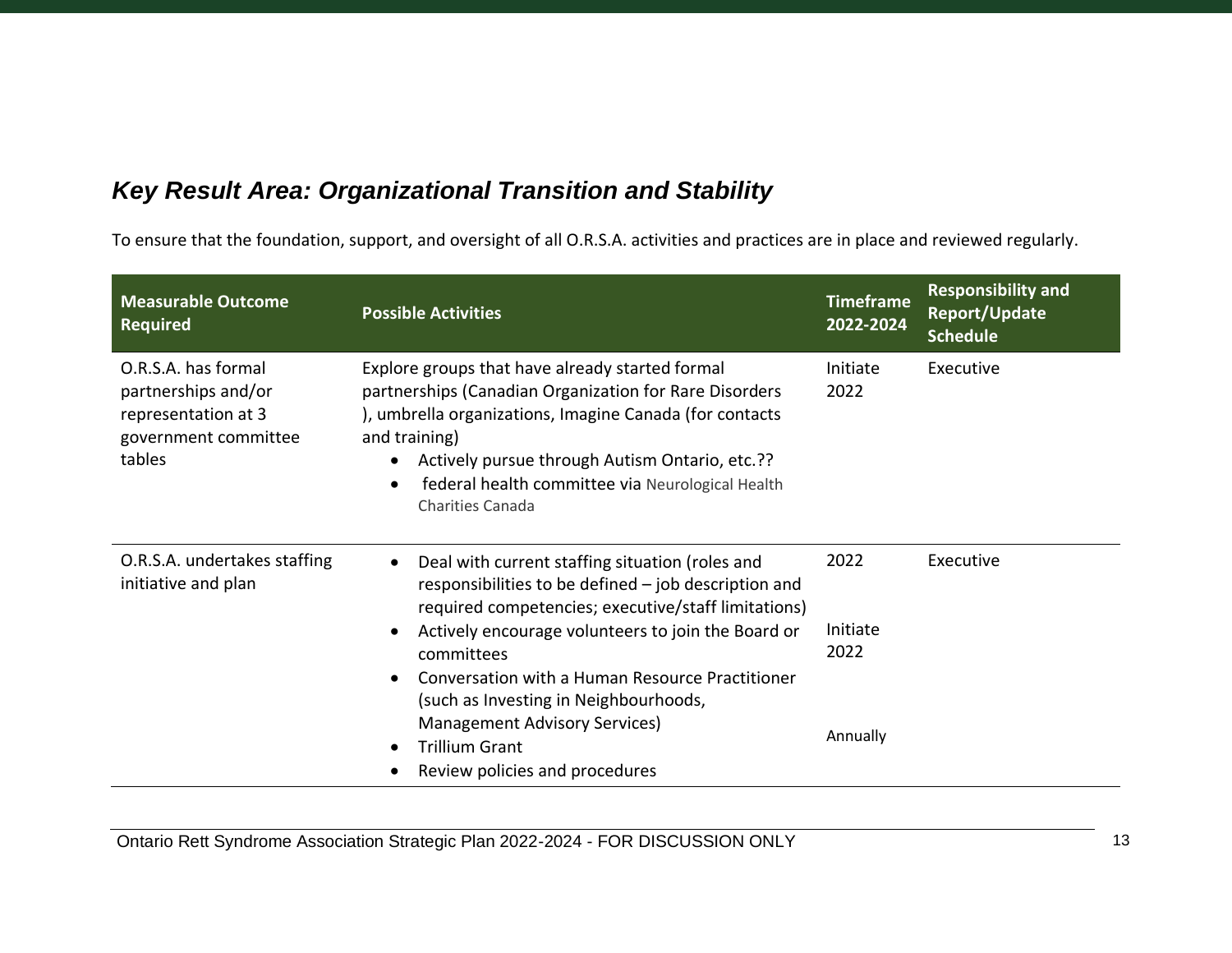# <span id="page-12-0"></span>*Key Result Area: Organizational Transition and Stability*

To ensure that the foundation, support, and oversight of all O.R.S.A. activities and practices are in place and reviewed regularly.

| <b>Measurable Outcome</b><br><b>Required</b>                                                        | <b>Possible Activities</b>                                                                                                                                                                                                                                                                                                                                             | <b>Timeframe</b><br>2022-2024        | <b>Responsibility and</b><br><b>Report/Update</b><br><b>Schedule</b> |
|-----------------------------------------------------------------------------------------------------|------------------------------------------------------------------------------------------------------------------------------------------------------------------------------------------------------------------------------------------------------------------------------------------------------------------------------------------------------------------------|--------------------------------------|----------------------------------------------------------------------|
| O.R.S.A. has formal<br>partnerships and/or<br>representation at 3<br>government committee<br>tables | Explore groups that have already started formal<br>partnerships (Canadian Organization for Rare Disorders<br>), umbrella organizations, Imagine Canada (for contacts<br>and training)<br>Actively pursue through Autism Ontario, etc.??<br>federal health committee via Neurological Health<br><b>Charities Canada</b>                                                 | Initiate<br>2022                     | Executive                                                            |
| O.R.S.A. undertakes staffing<br>initiative and plan                                                 | Deal with current staffing situation (roles and<br>responsibilities to be defined - job description and<br>required competencies; executive/staff limitations)<br>Actively encourage volunteers to join the Board or<br>committees<br>Conversation with a Human Resource Practitioner<br>(such as Investing in Neighbourhoods,<br><b>Management Advisory Services)</b> | 2022<br>Initiate<br>2022<br>Annually | Executive                                                            |
|                                                                                                     | <b>Trillium Grant</b><br>Review policies and procedures                                                                                                                                                                                                                                                                                                                |                                      |                                                                      |